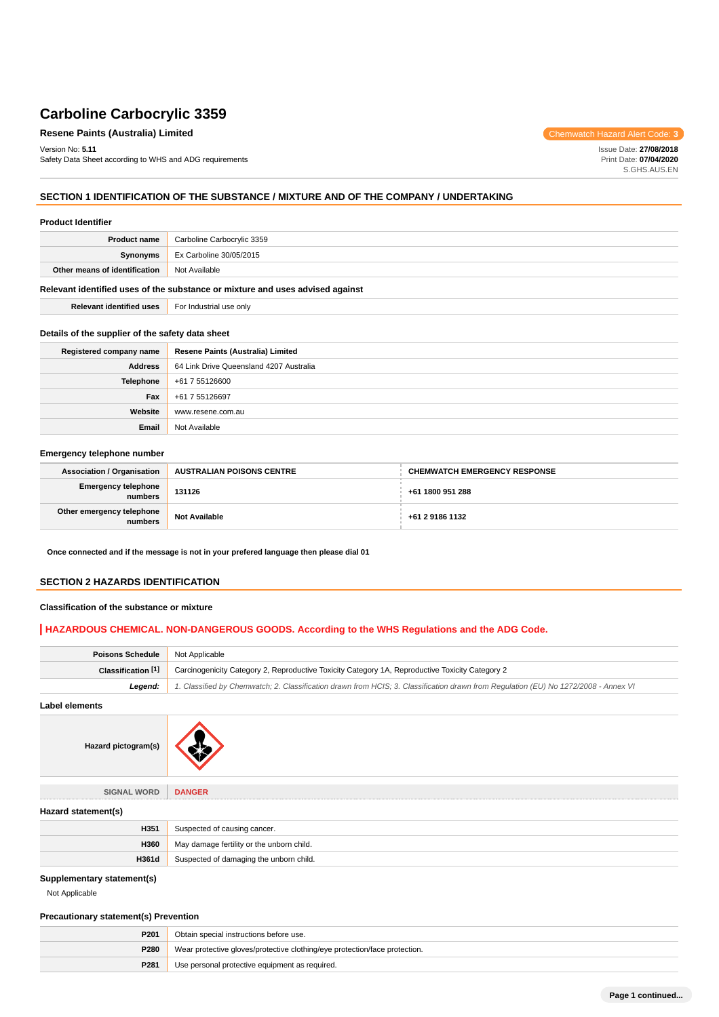## **Resene Paints (Australia) Limited** Chemwatch Hazard Alert Code: 3

Version No: **5.11** Safety Data Sheet according to WHS and ADG requirements

Issue Date: **27/08/2018** Print Date: **07/04/2020** S.GHS.AUS.EN

## **SECTION 1 IDENTIFICATION OF THE SUBSTANCE / MIXTURE AND OF THE COMPANY / UNDERTAKING**

| <b>Product Identifier</b>                                                     |                            |
|-------------------------------------------------------------------------------|----------------------------|
| <b>Product name</b>                                                           | Carboline Carbocrylic 3359 |
| Synonyms                                                                      | Ex Carboline 30/05/2015    |
| Other means of identification                                                 | Not Available              |
| Relevant identified uses of the substance or mixture and uses advised against |                            |
| <b>Relevant identified uses</b>                                               | For Industrial use only    |

#### **Details of the supplier of the safety data sheet**

| Registered company name | Resene Paints (Australia) Limited       |
|-------------------------|-----------------------------------------|
| <b>Address</b>          | 64 Link Drive Queensland 4207 Australia |
| Telephone               | +61 7 55126600                          |
| Fax                     | +61 7 55126697                          |
| Website                 | www.resene.com.au                       |
| Email                   | Not Available                           |

#### **Emergency telephone number**

| <b>Association / Organisation</b>     | <b>AUSTRALIAN POISONS CENTRE</b> | <b>CHEMWATCH EMERGENCY RESPONSE</b> |
|---------------------------------------|----------------------------------|-------------------------------------|
| <b>Emergency telephone</b><br>numbers | 131126                           | +61 1800 951 288                    |
| Other emergency telephone<br>numbers  | <b>Not Available</b>             | +61 2 9186 1132                     |

**Once connected and if the message is not in your prefered language then please dial 01**

### **SECTION 2 HAZARDS IDENTIFICATION**

#### **Classification of the substance or mixture**

### **HAZARDOUS CHEMICAL. NON-DANGEROUS GOODS. According to the WHS Regulations and the ADG Code.**

| <b>Poisons Schedule</b> | Not Applicable                                                                                                                      |
|-------------------------|-------------------------------------------------------------------------------------------------------------------------------------|
| Classification [1]      | Carcinogenicity Category 2, Reproductive Toxicity Category 1A, Reproductive Toxicity Category 2                                     |
| Leaend:                 | 1. Classified by Chemwatch; 2. Classification drawn from HCIS; 3. Classification drawn from Requlation (EU) No 1272/2008 - Annex VI |

**Label elements**



**SIGNAL WORD DANGER**

| Hazard statement(s) |                                           |
|---------------------|-------------------------------------------|
| H351                | Suspected of causing cancer.              |
| H360                | May damage fertility or the unborn child. |
| H361d               | Suspected of damaging the unborn child.   |

### **Supplementary statement(s)**

Not Applicable

### **Precautionary statement(s) Prevention**

| P201 | Obtain special instructions before use.                                    |
|------|----------------------------------------------------------------------------|
| P280 | Wear protective gloves/protective clothing/eye protection/face protection. |
| P281 | Use personal protective equipment as required.                             |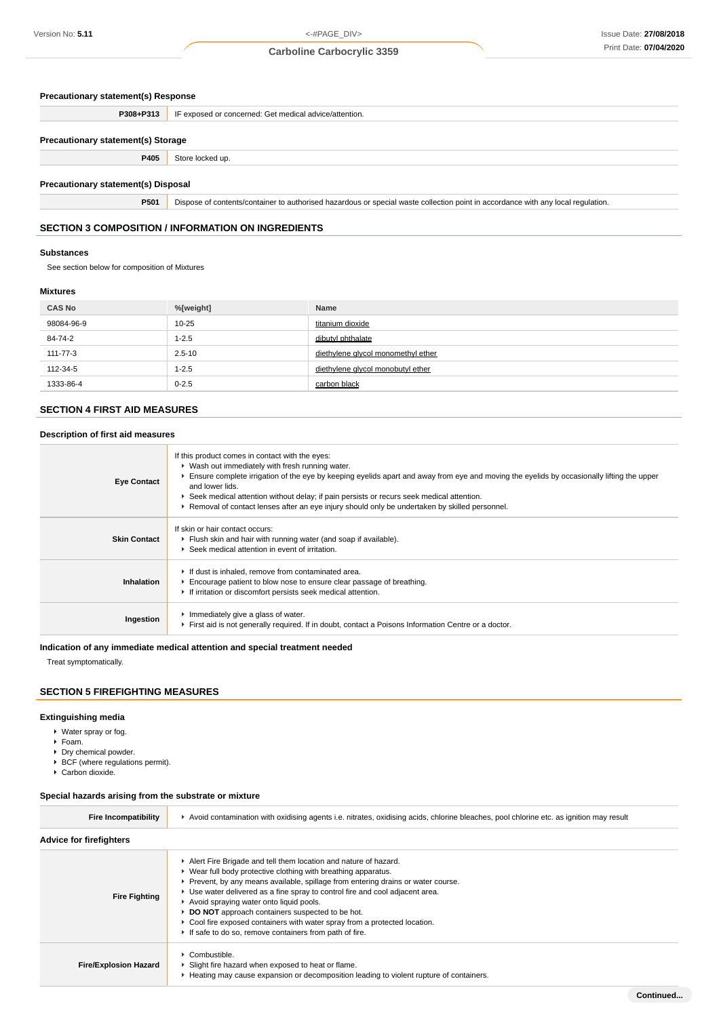#### **Precautionary statement(s) Response**

|                                           | <b>P308+P313</b> IF exposed or concerned: Get medical advice/attention. |  |  |
|-------------------------------------------|-------------------------------------------------------------------------|--|--|
| <b>Precautionary statement(s) Storage</b> |                                                                         |  |  |
| P405                                      | Store locked up.                                                        |  |  |

### **Precautionary statement(s) Disposal**

**P501** Dispose of contents/container to authorised hazardous or special waste collection point in accordance with any local regulation.

### **SECTION 3 COMPOSITION / INFORMATION ON INGREDIENTS**

#### **Substances**

See section below for composition of Mixtures

#### **Mixtures**

| <b>CAS No</b> | %[weight]  | Name                               |
|---------------|------------|------------------------------------|
| 98084-96-9    | $10 - 25$  | titanium dioxide                   |
| 84-74-2       | $1 - 2.5$  | dibutyl phthalate                  |
| 111-77-3      | $2.5 - 10$ | diethylene glycol monomethyl ether |
| 112-34-5      | $1 - 2.5$  | diethylene glycol monobutyl ether  |
| 1333-86-4     | $0 - 2.5$  | carbon black                       |

#### **SECTION 4 FIRST AID MEASURES**

### **Description of first aid measures**

| <b>Eye Contact</b>  | If this product comes in contact with the eyes:<br>▶ Wash out immediately with fresh running water.<br>Ensure complete irrigation of the eye by keeping eyelids apart and away from eye and moving the eyelids by occasionally lifting the upper<br>and lower lids.<br>► Seek medical attention without delay; if pain persists or recurs seek medical attention.<br>► Removal of contact lenses after an eye injury should only be undertaken by skilled personnel. |
|---------------------|----------------------------------------------------------------------------------------------------------------------------------------------------------------------------------------------------------------------------------------------------------------------------------------------------------------------------------------------------------------------------------------------------------------------------------------------------------------------|
| <b>Skin Contact</b> | If skin or hair contact occurs:<br>Flush skin and hair with running water (and soap if available).<br>▶ Seek medical attention in event of irritation.                                                                                                                                                                                                                                                                                                               |
| Inhalation          | If dust is inhaled, remove from contaminated area.<br>Encourage patient to blow nose to ensure clear passage of breathing.<br>If irritation or discomfort persists seek medical attention.                                                                                                                                                                                                                                                                           |
| Ingestion           | Immediately give a glass of water.<br>First aid is not generally required. If in doubt, contact a Poisons Information Centre or a doctor.                                                                                                                                                                                                                                                                                                                            |

#### **Indication of any immediate medical attention and special treatment needed**

Treat symptomatically.

#### **SECTION 5 FIREFIGHTING MEASURES**

#### **Extinguishing media**

- Water spray or fog.
- Foam.
- Dry chemical powder.
- $\blacktriangleright$  BCF (where regulations permit).
- ▶ Carbon dioxide.

#### **Special hazards arising from the substrate or mixture**

| <b>Fire Incompatibility</b>    | Avoid contamination with oxidising agents i.e. nitrates, oxidising acids, chlorine bleaches, pool chlorine etc. as ignition may result                                                                                                                                                                                                                                                                                                                                                                                                        |  |  |
|--------------------------------|-----------------------------------------------------------------------------------------------------------------------------------------------------------------------------------------------------------------------------------------------------------------------------------------------------------------------------------------------------------------------------------------------------------------------------------------------------------------------------------------------------------------------------------------------|--|--|
| <b>Advice for firefighters</b> |                                                                                                                                                                                                                                                                                                                                                                                                                                                                                                                                               |  |  |
| <b>Fire Fighting</b>           | Alert Fire Brigade and tell them location and nature of hazard.<br>• Wear full body protective clothing with breathing apparatus.<br>Prevent, by any means available, spillage from entering drains or water course.<br>► Use water delivered as a fine spray to control fire and cool adjacent area.<br>Avoid spraying water onto liquid pools.<br>▶ DO NOT approach containers suspected to be hot.<br>► Cool fire exposed containers with water spray from a protected location.<br>If safe to do so, remove containers from path of fire. |  |  |
| <b>Fire/Explosion Hazard</b>   | $\cdot$ Combustible.<br>Slight fire hazard when exposed to heat or flame.<br>► Heating may cause expansion or decomposition leading to violent rupture of containers.                                                                                                                                                                                                                                                                                                                                                                         |  |  |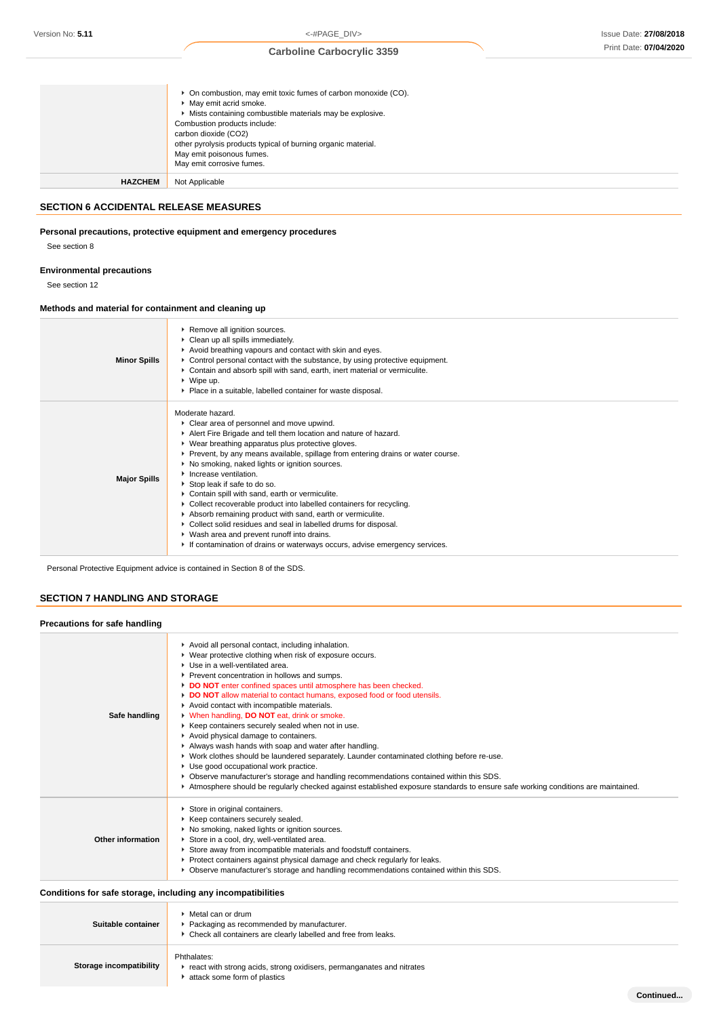**Continued...**

## **Carboline Carbocrylic 3359**

|                | ▶ On combustion, may emit toxic fumes of carbon monoxide (CO).<br>• May emit acrid smoke.<br>• Mists containing combustible materials may be explosive.<br>Combustion products include:<br>carbon dioxide (CO2)<br>other pyrolysis products typical of burning organic material.<br>May emit poisonous fumes.<br>May emit corrosive fumes. |
|----------------|--------------------------------------------------------------------------------------------------------------------------------------------------------------------------------------------------------------------------------------------------------------------------------------------------------------------------------------------|
| <b>HAZCHEM</b> | Not Applicable                                                                                                                                                                                                                                                                                                                             |

### **SECTION 6 ACCIDENTAL RELEASE MEASURES**

### **Personal precautions, protective equipment and emergency procedures**

See section 8

### **Environmental precautions**

See section 12

#### **Methods and material for containment and cleaning up**

| <b>Minor Spills</b> | Remove all ignition sources.<br>Clean up all spills immediately.<br>Avoid breathing vapours and contact with skin and eyes.<br>► Control personal contact with the substance, by using protective equipment.<br>Contain and absorb spill with sand, earth, inert material or vermiculite.<br>▶ Wipe up.<br>▶ Place in a suitable, labelled container for waste disposal.                                                                                                                                                                                                                                                                                                                                                                                                        |
|---------------------|---------------------------------------------------------------------------------------------------------------------------------------------------------------------------------------------------------------------------------------------------------------------------------------------------------------------------------------------------------------------------------------------------------------------------------------------------------------------------------------------------------------------------------------------------------------------------------------------------------------------------------------------------------------------------------------------------------------------------------------------------------------------------------|
| <b>Major Spills</b> | Moderate hazard.<br>Clear area of personnel and move upwind.<br>Alert Fire Brigade and tell them location and nature of hazard.<br>▶ Wear breathing apparatus plus protective gloves.<br>▶ Prevent, by any means available, spillage from entering drains or water course.<br>▶ No smoking, naked lights or ignition sources.<br>Increase ventilation.<br>Stop leak if safe to do so.<br>Contain spill with sand, earth or vermiculite.<br>▶ Collect recoverable product into labelled containers for recycling.<br>Absorb remaining product with sand, earth or vermiculite.<br>▶ Collect solid residues and seal in labelled drums for disposal.<br>▶ Wash area and prevent runoff into drains.<br>If contamination of drains or waterways occurs, advise emergency services. |

Personal Protective Equipment advice is contained in Section 8 of the SDS.

## **SECTION 7 HANDLING AND STORAGE**

| Precautions for safe handling |                                                                                                                                                                                                                                                                                                                                                                                                                                                                                                                                                                                                                                                                                                                                                                                                                                                                                                                                                                                  |
|-------------------------------|----------------------------------------------------------------------------------------------------------------------------------------------------------------------------------------------------------------------------------------------------------------------------------------------------------------------------------------------------------------------------------------------------------------------------------------------------------------------------------------------------------------------------------------------------------------------------------------------------------------------------------------------------------------------------------------------------------------------------------------------------------------------------------------------------------------------------------------------------------------------------------------------------------------------------------------------------------------------------------|
| Safe handling                 | Avoid all personal contact, including inhalation.<br>▶ Wear protective clothing when risk of exposure occurs.<br>▶ Use in a well-ventilated area.<br>▶ Prevent concentration in hollows and sumps.<br>DO NOT enter confined spaces until atmosphere has been checked.<br>DO NOT allow material to contact humans, exposed food or food utensils.<br>Avoid contact with incompatible materials.<br>When handling, <b>DO NOT</b> eat, drink or smoke.<br>▶ Keep containers securely sealed when not in use.<br>Avoid physical damage to containers.<br>Always wash hands with soap and water after handling.<br>▶ Work clothes should be laundered separately. Launder contaminated clothing before re-use.<br>Use good occupational work practice.<br>▶ Observe manufacturer's storage and handling recommendations contained within this SDS.<br>Atmosphere should be regularly checked against established exposure standards to ensure safe working conditions are maintained. |
| Other information             | Store in original containers.<br>▶ Keep containers securely sealed.<br>▶ No smoking, naked lights or ignition sources.<br>Store in a cool, dry, well-ventilated area.<br>Store away from incompatible materials and foodstuff containers.<br>Protect containers against physical damage and check regularly for leaks.<br>► Observe manufacturer's storage and handling recommendations contained within this SDS.                                                                                                                                                                                                                                                                                                                                                                                                                                                                                                                                                               |

## **Conditions for safe storage, including any incompatibilities**

| Suitable container      | $\blacktriangleright$ Metal can or drum<br>Packaging as recommended by manufacturer.<br>• Check all containers are clearly labelled and free from leaks. |
|-------------------------|----------------------------------------------------------------------------------------------------------------------------------------------------------|
| Storage incompatibility | Phthalates:<br>react with strong acids, strong oxidisers, permanganates and nitrates<br>attack some form of plastics                                     |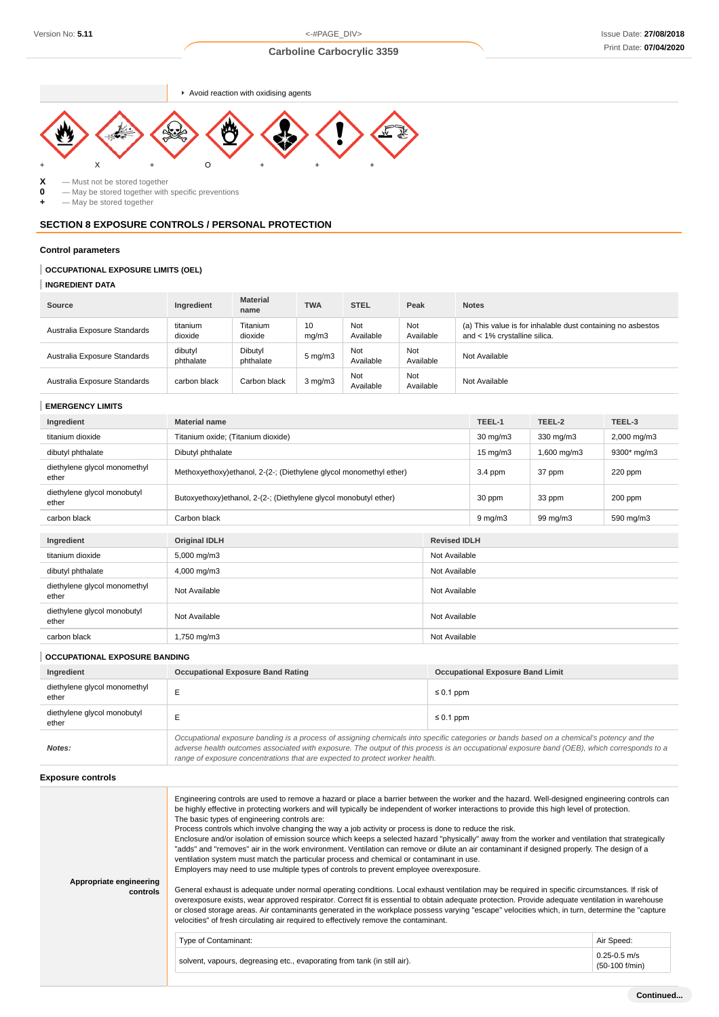$\blacktriangleright$  Avoid reaction with oxidising agents



**X** — Must not be stored together<br>**0** — May be stored together with

**0** — May be stored together with specific preventions<br>  $\div$  — May be stored together

 $-$  May be stored together

## **SECTION 8 EXPOSURE CONTROLS / PERSONAL PROTECTION**

#### **Control parameters**

## **OCCUPATIONAL EXPOSURE LIMITS (OEL)**

### **INGREDIENT DATA**

| Source                       | Ingredient           | <b>Material</b><br>name | <b>TWA</b>         | <b>STEL</b>      | Peak             | <b>Notes</b>                                                                                |
|------------------------------|----------------------|-------------------------|--------------------|------------------|------------------|---------------------------------------------------------------------------------------------|
| Australia Exposure Standards | titanium<br>dioxide  | Titanium<br>dioxide     | 10<br>mg/m3        | Not<br>Available | Not<br>Available | (a) This value is for inhalable dust containing no asbestos<br>and < 1% crystalline silica. |
| Australia Exposure Standards | dibutyl<br>phthalate | Dibutyl<br>phthalate    | $5 \text{ mg/m}$ 3 | Not<br>Available | Not<br>Available | Not Available                                                                               |
| Australia Exposure Standards | carbon black         | Carbon black            | $3$ mg/m $3$       | Not<br>Available | Not<br>Available | Not Available                                                                               |

#### **EMERGENCY LIMITS**

| Ingredient                            | <b>Material name</b>                                                |                     | TEEL-1            | TEEL-2      | TEEL-3      |
|---------------------------------------|---------------------------------------------------------------------|---------------------|-------------------|-------------|-------------|
| titanium dioxide                      | Titanium oxide; (Titanium dioxide)                                  |                     | $30 \text{ mg/m}$ | 330 mg/m3   | 2,000 mg/m3 |
| dibutyl phthalate                     | Dibutyl phthalate                                                   |                     | $15 \text{ mg/m}$ | 1,600 mg/m3 | 9300* mg/m3 |
| diethylene glycol monomethyl<br>ether | Methoxyethoxy) ethanol, 2-(2-; (Diethylene glycol monomethyl ether) |                     | $3.4$ ppm         | 37 ppm      | 220 ppm     |
| diethylene glycol monobutyl<br>ether  | Butoxyethoxy)ethanol, 2-(2-; (Diethylene glycol monobutyl ether)    |                     | 30 ppm            | 33 ppm      | 200 ppm     |
| carbon black                          | Carbon black                                                        |                     | $9 \, mg/m3$      | 99 mg/m3    | 590 mg/m3   |
| Ingredient                            | <b>Original IDLH</b>                                                | <b>Revised IDLH</b> |                   |             |             |
| titanium dioxide                      | 5,000 mg/m3                                                         |                     | Not Available     |             |             |
| dibutyl phthalate                     | 4,000 mg/m3                                                         | Not Available       |                   |             |             |
| diethylene glycol monomethyl<br>ether | Not Available<br>Not Available                                      |                     |                   |             |             |
| diethylene glycol monobutyl<br>ether  | Not Available                                                       | Not Available       |                   |             |             |
| carbon black                          | 1,750 mg/m3                                                         | Not Available       |                   |             |             |

| <b>OCCUPATIONAL EXPOSURE BANDING</b>  |                                                                                                                                                                                                                                                                                                                                                                          |                                         |  |  |
|---------------------------------------|--------------------------------------------------------------------------------------------------------------------------------------------------------------------------------------------------------------------------------------------------------------------------------------------------------------------------------------------------------------------------|-----------------------------------------|--|--|
| Ingredient                            | <b>Occupational Exposure Band Rating</b>                                                                                                                                                                                                                                                                                                                                 | <b>Occupational Exposure Band Limit</b> |  |  |
| diethylene glycol monomethyl<br>ether |                                                                                                                                                                                                                                                                                                                                                                          | $\leq 0.1$ ppm                          |  |  |
| diethylene glycol monobutyl<br>ether  |                                                                                                                                                                                                                                                                                                                                                                          | $\leq 0.1$ ppm                          |  |  |
| Notes:                                | Occupational exposure banding is a process of assigning chemicals into specific categories or bands based on a chemical's potency and the<br>adverse health outcomes associated with exposure. The output of this process is an occupational exposure band (OEB), which corresponds to a<br>range of exposure concentrations that are expected to protect worker health. |                                         |  |  |

### **Exposure controls**

| Appropriate engineering<br>controls | Engineering controls are used to remove a hazard or place a barrier between the worker and the hazard. Well-designed engineering controls can<br>be highly effective in protecting workers and will typically be independent of worker interactions to provide this high level of protection.<br>The basic types of engineering controls are:<br>Process controls which involve changing the way a job activity or process is done to reduce the risk.<br>Enclosure and/or isolation of emission source which keeps a selected hazard "physically" away from the worker and ventilation that strategically<br>"adds" and "removes" air in the work environment. Ventilation can remove or dilute an air contaminant if designed properly. The design of a<br>ventilation system must match the particular process and chemical or contaminant in use.<br>Employers may need to use multiple types of controls to prevent employee overexposure.<br>General exhaust is adequate under normal operating conditions. Local exhaust ventilation may be required in specific circumstances. If risk of<br>overexposure exists, wear approved respirator. Correct fit is essential to obtain adequate protection. Provide adequate ventilation in warehouse<br>or closed storage areas. Air contaminants generated in the workplace possess varying "escape" velocities which, in turn, determine the "capture<br>velocities" of fresh circulating air required to effectively remove the contaminant. |                                    |
|-------------------------------------|--------------------------------------------------------------------------------------------------------------------------------------------------------------------------------------------------------------------------------------------------------------------------------------------------------------------------------------------------------------------------------------------------------------------------------------------------------------------------------------------------------------------------------------------------------------------------------------------------------------------------------------------------------------------------------------------------------------------------------------------------------------------------------------------------------------------------------------------------------------------------------------------------------------------------------------------------------------------------------------------------------------------------------------------------------------------------------------------------------------------------------------------------------------------------------------------------------------------------------------------------------------------------------------------------------------------------------------------------------------------------------------------------------------------------------------------------------------------------------------------------|------------------------------------|
|                                     | Type of Contaminant:                                                                                                                                                                                                                                                                                                                                                                                                                                                                                                                                                                                                                                                                                                                                                                                                                                                                                                                                                                                                                                                                                                                                                                                                                                                                                                                                                                                                                                                                             | Air Speed:                         |
|                                     | solvent, vapours, degreasing etc., evaporating from tank (in still air).                                                                                                                                                                                                                                                                                                                                                                                                                                                                                                                                                                                                                                                                                                                                                                                                                                                                                                                                                                                                                                                                                                                                                                                                                                                                                                                                                                                                                         | $0.25 - 0.5$ m/s<br>(50-100 f/min) |
|                                     |                                                                                                                                                                                                                                                                                                                                                                                                                                                                                                                                                                                                                                                                                                                                                                                                                                                                                                                                                                                                                                                                                                                                                                                                                                                                                                                                                                                                                                                                                                  |                                    |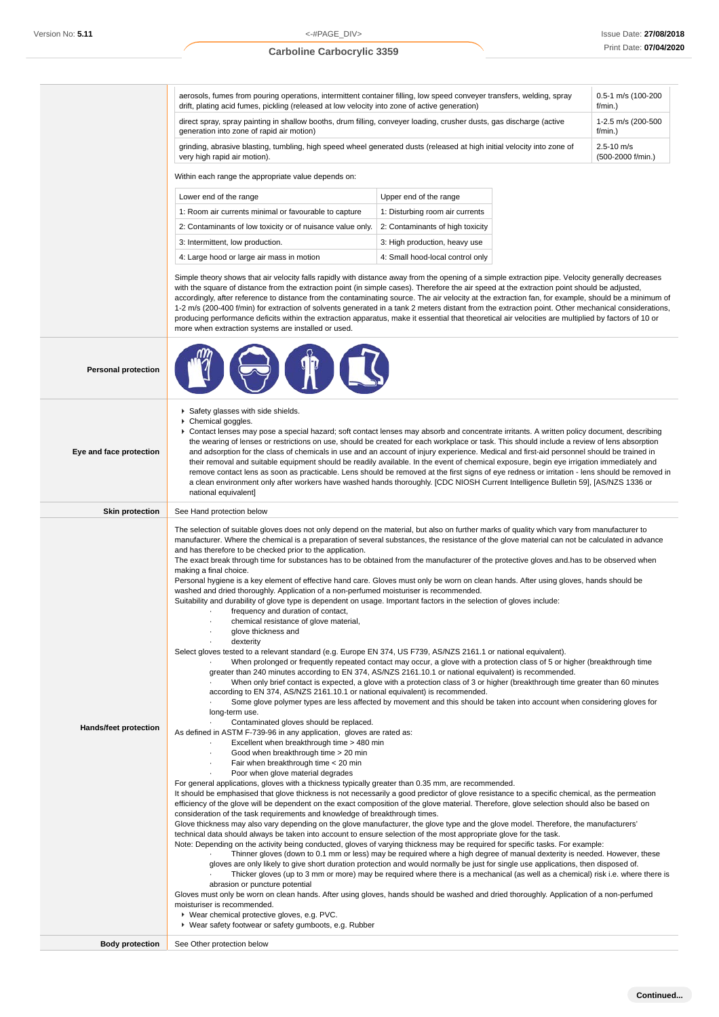aerosols, fumes from pouring operations, intermittent container filling, low speed conveyer transfers, welding, spray drift, plating acid fumes, pickling (released at low velocity into zone of active generation) 0.5-1 m/s (100-200  $f/min$ ) direct spray, spray painting in shallow booths, drum filling, conveyer loading, crusher dusts, gas discharge (active generation into zone of rapid air motion) 1-2.5 m/s (200-500 f/min.) grinding, abrasive blasting, tumbling, high speed wheel generated dusts (released at high initial velocity into zone of very high rapid air motion). 2.5-10 m/s (500-2000 f/min.) Within each range the appropriate value depends on: Lower end of the range Upper end of the range 1: Room air currents minimal or favourable to capture 1: Disturbing room air currents 2: Contaminants of low toxicity or of nuisance value only. 2: Contaminants of high toxicity 3: Intermittent, low production.  $\begin{array}{c|c} \hline \end{array}$  3: High production, heavy use 4: Large hood or large air mass in motion 4: Small hood-local control only Simple theory shows that air velocity falls rapidly with distance away from the opening of a simple extraction pipe. Velocity generally decreases with the square of distance from the extraction point (in simple cases). Therefore the air speed at the extraction point should be adjusted, accordingly, after reference to distance from the contaminating source. The air velocity at the extraction fan, for example, should be a minimum of 1-2 m/s (200-400 f/min) for extraction of solvents generated in a tank 2 meters distant from the extraction point. Other mechanical considerations, producing performance deficits within the extraction apparatus, make it essential that theoretical air velocities are multiplied by factors of 10 or more when extraction systems are installed or used. **Personal protection Eye and face protection** Safety glasses with side shields. Chemical goggles. Contact lenses may pose a special hazard; soft contact lenses may absorb and concentrate irritants. A written policy document, describing the wearing of lenses or restrictions on use, should be created for each workplace or task. This should include a review of lens absorption and adsorption for the class of chemicals in use and an account of injury experience. Medical and first-aid personnel should be trained in their removal and suitable equipment should be readily available. In the event of chemical exposure, begin eye irrigation immediately and remove contact lens as soon as practicable. Lens should be removed at the first signs of eye redness or irritation - lens should be removed in a clean environment only after workers have washed hands thoroughly. [CDC NIOSH Current Intelligence Bulletin 59], [AS/NZS 1336 or national equivalent] **Skin protection** See Hand protection below **Hands/feet protection** The selection of suitable gloves does not only depend on the material, but also on further marks of quality which vary from manufacturer to manufacturer. Where the chemical is a preparation of several substances, the resistance of the glove material can not be calculated in advance and has therefore to be checked prior to the application. The exact break through time for substances has to be obtained from the manufacturer of the protective gloves and.has to be observed when making a final choice. Personal hygiene is a key element of effective hand care. Gloves must only be worn on clean hands. After using gloves, hands should be washed and dried thoroughly. Application of a non-perfumed moisturiser is recommended. Suitability and durability of glove type is dependent on usage. Important factors in the selection of gloves include: frequency and duration of contact. · chemical resistance of glove material, · glove thickness and · dexterity Select gloves tested to a relevant standard (e.g. Europe EN 374, US F739, AS/NZS 2161.1 or national equivalent). When prolonged or frequently repeated contact may occur, a glove with a protection class of 5 or higher (breakthrough time greater than 240 minutes according to EN 374, AS/NZS 2161.10.1 or national equivalent) is recommended. · When only brief contact is expected, a glove with a protection class of 3 or higher (breakthrough time greater than 60 minutes according to EN 374, AS/NZS 2161.10.1 or national equivalent) is recommended. Some glove polymer types are less affected by movement and this should be taken into account when considering gloves for long-term use. Contaminated gloves should be replaced. As defined in ASTM F-739-96 in any application, gloves are rated as: Excellent when breakthrough time > 480 min Good when breakthrough time > 20 min Fair when breakthrough time < 20 min Poor when glove material degrades For general applications, gloves with a thickness typically greater than 0.35 mm, are recommended. It should be emphasised that glove thickness is not necessarily a good predictor of glove resistance to a specific chemical, as the permeation efficiency of the glove will be dependent on the exact composition of the glove material. Therefore, glove selection should also be based on consideration of the task requirements and knowledge of breakthrough times. Glove thickness may also vary depending on the glove manufacturer, the glove type and the glove model. Therefore, the manufacturers' technical data should always be taken into account to ensure selection of the most appropriate glove for the task. Note: Depending on the activity being conducted, gloves of varying thickness may be required for specific tasks. For example: · Thinner gloves (down to 0.1 mm or less) may be required where a high degree of manual dexterity is needed. However, these gloves are only likely to give short duration protection and would normally be just for single use applications, then disposed of. Thicker gloves (up to 3 mm or more) may be required where there is a mechanical (as well as a chemical) risk i.e. where there is abrasion or puncture potential Gloves must only be worn on clean hands. After using gloves, hands should be washed and dried thoroughly. Application of a non-perfumed moisturiser is recommended. Wear chemical protective gloves, e.g. PVC.

Wear safety footwear or safety gumboots, e.g. Rubber

**Body protection** See Other protection below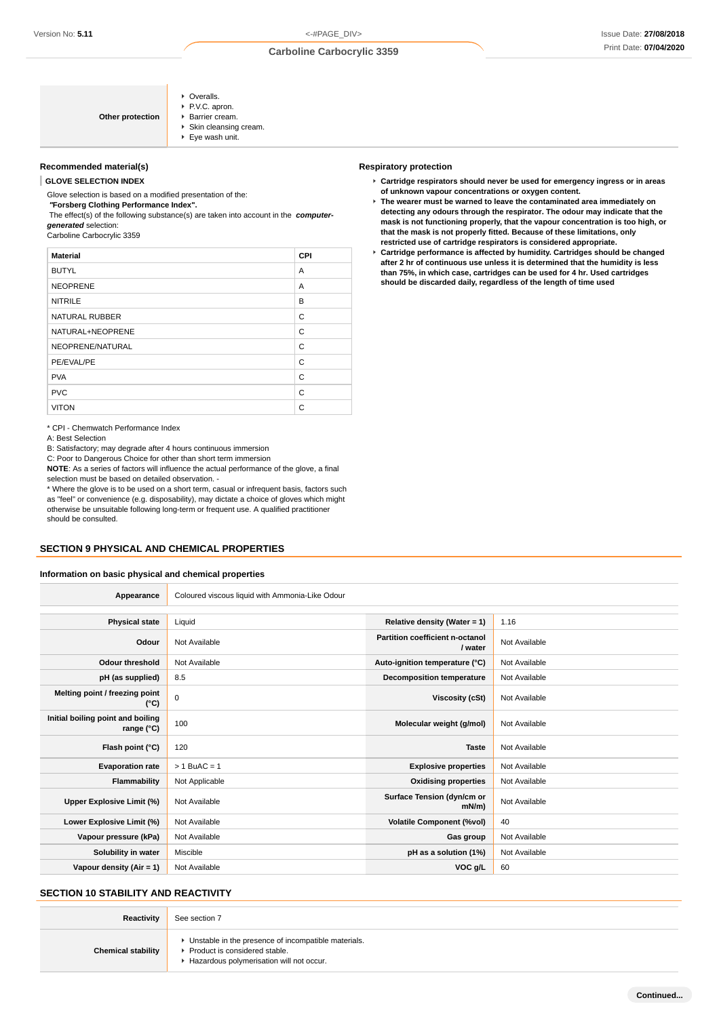| Other protection | • Overalls.<br>P.V.C. apron.<br>▶ Barrier cream.<br>Skin cleansing cream.<br>$\blacktriangleright$ Eye wash unit. |
|------------------|-------------------------------------------------------------------------------------------------------------------|
|------------------|-------------------------------------------------------------------------------------------------------------------|

### **Recommended material(s)**

**GLOVE SELECTION INDEX**

Glove selection is based on a modified presentation of the:

 **"Forsberg Clothing Performance Index".** The effect(s) of the following substance(s) are taken into account in the **computergenerated** selection:

Carboline Carbocrylic 3359

| <b>Material</b>       | <b>CPI</b> |
|-----------------------|------------|
| <b>BUTYL</b>          | A          |
| <b>NEOPRENE</b>       | A          |
| <b>NITRILE</b>        | B          |
| <b>NATURAL RUBBER</b> | C          |
| NATURAL+NEOPRENE      | C          |
| NEOPRENE/NATURAL      | C          |
| PE/EVAL/PE            | C          |
| <b>PVA</b>            | C          |
| <b>PVC</b>            | C          |
| <b>VITON</b>          | C          |

\* CPI - Chemwatch Performance Index

A: Best Selection

B: Satisfactory; may degrade after 4 hours continuous immersion

C: Poor to Dangerous Choice for other than short term immersion

**NOTE**: As a series of factors will influence the actual performance of the glove, a final selection must be based on detailed observation. -

\* Where the glove is to be used on a short term, casual or infrequent basis, factors such as "feel" or convenience (e.g. disposability), may dictate a choice of gloves which might otherwise be unsuitable following long-term or frequent use. A qualified practitioner should be consulted.

#### **SECTION 9 PHYSICAL AND CHEMICAL PROPERTIES**

#### **Information on basic physical and chemical properties**

| <b>Respiratory protection</b> |  |
|-------------------------------|--|
|-------------------------------|--|

- **Cartridge respirators should never be used for emergency ingress or in areas of unknown vapour concentrations or oxygen content.**
- **The wearer must be warned to leave the contaminated area immediately on detecting any odours through the respirator. The odour may indicate that the mask is not functioning properly, that the vapour concentration is too high, or that the mask is not properly fitted. Because of these limitations, only restricted use of cartridge respirators is considered appropriate.**
- **Cartridge performance is affected by humidity. Cartridges should be changed after 2 hr of continuous use unless it is determined that the humidity is less than 75%, in which case, cartridges can be used for 4 hr. Used cartridges should be discarded daily, regardless of the length of time used**

| Appearance                                      | Coloured viscous liquid with Ammonia-Like Odour |                                            |               |
|-------------------------------------------------|-------------------------------------------------|--------------------------------------------|---------------|
|                                                 |                                                 |                                            |               |
| <b>Physical state</b>                           | Liquid                                          | Relative density (Water = $1$ )            | 1.16          |
| Odour                                           | Not Available                                   | Partition coefficient n-octanol<br>/ water | Not Available |
| <b>Odour threshold</b>                          | Not Available                                   | Auto-ignition temperature (°C)             | Not Available |
| pH (as supplied)                                | 8.5                                             | <b>Decomposition temperature</b>           | Not Available |
| Melting point / freezing point<br>(°C)          | $\mathsf 0$                                     | Viscosity (cSt)                            | Not Available |
| Initial boiling point and boiling<br>range (°C) | 100                                             | Molecular weight (g/mol)                   | Not Available |
| Flash point (°C)                                | 120                                             | <b>Taste</b>                               | Not Available |
| <b>Evaporation rate</b>                         | $> 1$ BuAC = 1                                  | <b>Explosive properties</b>                | Not Available |
| Flammability                                    | Not Applicable                                  | <b>Oxidising properties</b>                | Not Available |
| Upper Explosive Limit (%)                       | Not Available                                   | Surface Tension (dyn/cm or<br>$mN/m$ )     | Not Available |
| Lower Explosive Limit (%)                       | Not Available                                   | <b>Volatile Component (%vol)</b>           | 40            |
| Vapour pressure (kPa)                           | Not Available                                   | Gas group                                  | Not Available |
| Solubility in water                             | Miscible                                        | pH as a solution (1%)                      | Not Available |
| Vapour density (Air = $1$ )                     | Not Available                                   | VOC g/L                                    | 60            |
|                                                 |                                                 |                                            |               |

### **SECTION 10 STABILITY AND REACTIVITY**

| Reactivity                | See section 7                                                                                                                      |
|---------------------------|------------------------------------------------------------------------------------------------------------------------------------|
| <b>Chemical stability</b> | • Unstable in the presence of incompatible materials.<br>Product is considered stable.<br>Hazardous polymerisation will not occur. |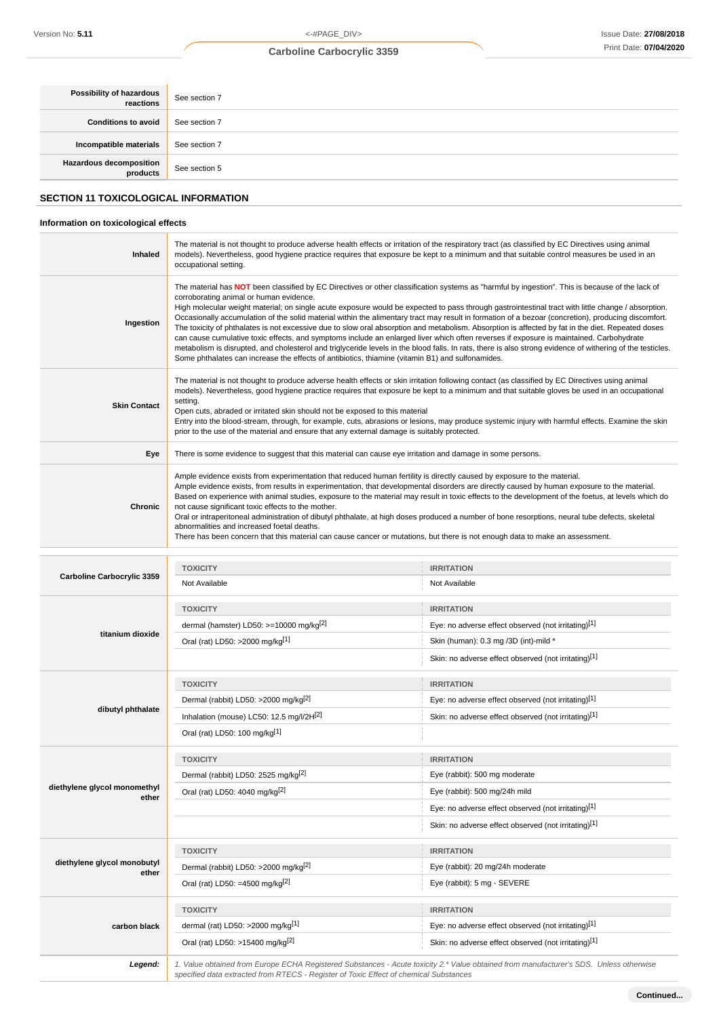**Continued...**

## **Carboline Carbocrylic 3359**

| Possibility of hazardous<br>reactions       | See section 7 |  |
|---------------------------------------------|---------------|--|
| <b>Conditions to avoid</b>                  | See section 7 |  |
| Incompatible materials                      | See section 7 |  |
| <b>Hazardous decomposition</b><br>products  | See section 5 |  |
| <b>SECTION 11 TOXICOLOGICAL INFORMATION</b> |               |  |

## **Information on toxicological effects**

n

| Inhaled                               | The material is not thought to produce adverse health effects or irritation of the respiratory tract (as classified by EC Directives using animal<br>models). Nevertheless, good hygiene practice requires that exposure be kept to a minimum and that suitable control measures be used in an<br>occupational setting.                                                                                                                                                                                                                                                                                                                                                                                                                                                                                                                                                                                                                                                                                                                                                   |                                                                                                                                                                                                                                                                                                                                                                                                                                                                                                                                                                                                                                                                                                                 |  |
|---------------------------------------|---------------------------------------------------------------------------------------------------------------------------------------------------------------------------------------------------------------------------------------------------------------------------------------------------------------------------------------------------------------------------------------------------------------------------------------------------------------------------------------------------------------------------------------------------------------------------------------------------------------------------------------------------------------------------------------------------------------------------------------------------------------------------------------------------------------------------------------------------------------------------------------------------------------------------------------------------------------------------------------------------------------------------------------------------------------------------|-----------------------------------------------------------------------------------------------------------------------------------------------------------------------------------------------------------------------------------------------------------------------------------------------------------------------------------------------------------------------------------------------------------------------------------------------------------------------------------------------------------------------------------------------------------------------------------------------------------------------------------------------------------------------------------------------------------------|--|
| Ingestion                             | The material has NOT been classified by EC Directives or other classification systems as "harmful by ingestion". This is because of the lack of<br>corroborating animal or human evidence.<br>High molecular weight material; on single acute exposure would be expected to pass through gastrointestinal tract with little change / absorption.<br>Occasionally accumulation of the solid material within the alimentary tract may result in formation of a bezoar (concretion), producing discomfort.<br>The toxicity of phthalates is not excessive due to slow oral absorption and metabolism. Absorption is affected by fat in the diet. Repeated doses<br>can cause cumulative toxic effects, and symptoms include an enlarged liver which often reverses if exposure is maintained. Carbohydrate<br>metabolism is disrupted, and cholesterol and triglyceride levels in the blood falls. In rats, there is also strong evidence of withering of the testicles.<br>Some phthalates can increase the effects of antibiotics, thiamine (vitamin B1) and sulfonamides. |                                                                                                                                                                                                                                                                                                                                                                                                                                                                                                                                                                                                                                                                                                                 |  |
| <b>Skin Contact</b>                   | The material is not thought to produce adverse health effects or skin irritation following contact (as classified by EC Directives using animal<br>models). Nevertheless, good hygiene practice requires that exposure be kept to a minimum and that suitable gloves be used in an occupational<br>setting.<br>Open cuts, abraded or irritated skin should not be exposed to this material<br>Entry into the blood-stream, through, for example, cuts, abrasions or lesions, may produce systemic injury with harmful effects. Examine the skin<br>prior to the use of the material and ensure that any external damage is suitably protected.                                                                                                                                                                                                                                                                                                                                                                                                                            |                                                                                                                                                                                                                                                                                                                                                                                                                                                                                                                                                                                                                                                                                                                 |  |
| Eye                                   | There is some evidence to suggest that this material can cause eye irritation and damage in some persons.                                                                                                                                                                                                                                                                                                                                                                                                                                                                                                                                                                                                                                                                                                                                                                                                                                                                                                                                                                 |                                                                                                                                                                                                                                                                                                                                                                                                                                                                                                                                                                                                                                                                                                                 |  |
| Chronic                               | not cause significant toxic effects to the mother.<br>abnormalities and increased foetal deaths.                                                                                                                                                                                                                                                                                                                                                                                                                                                                                                                                                                                                                                                                                                                                                                                                                                                                                                                                                                          | Ample evidence exists from experimentation that reduced human fertility is directly caused by exposure to the material.<br>Ample evidence exists, from results in experimentation, that developmental disorders are directly caused by human exposure to the material.<br>Based on experience with animal studies, exposure to the material may result in toxic effects to the development of the foetus, at levels which do<br>Oral or intraperitoneal administration of dibutyl phthalate, at high doses produced a number of bone resorptions, neural tube defects, skeletal<br>There has been concern that this material can cause cancer or mutations, but there is not enough data to make an assessment. |  |
|                                       |                                                                                                                                                                                                                                                                                                                                                                                                                                                                                                                                                                                                                                                                                                                                                                                                                                                                                                                                                                                                                                                                           |                                                                                                                                                                                                                                                                                                                                                                                                                                                                                                                                                                                                                                                                                                                 |  |
| Carboline Carbocrylic 3359            | <b>TOXICITY</b><br>Not Available                                                                                                                                                                                                                                                                                                                                                                                                                                                                                                                                                                                                                                                                                                                                                                                                                                                                                                                                                                                                                                          | <b>IRRITATION</b><br>Not Available                                                                                                                                                                                                                                                                                                                                                                                                                                                                                                                                                                                                                                                                              |  |
|                                       | <b>TOXICITY</b>                                                                                                                                                                                                                                                                                                                                                                                                                                                                                                                                                                                                                                                                                                                                                                                                                                                                                                                                                                                                                                                           | <b>IRRITATION</b>                                                                                                                                                                                                                                                                                                                                                                                                                                                                                                                                                                                                                                                                                               |  |
|                                       | dermal (hamster) LD50: >=10000 mg/kg <sup>[2]</sup>                                                                                                                                                                                                                                                                                                                                                                                                                                                                                                                                                                                                                                                                                                                                                                                                                                                                                                                                                                                                                       | Eye: no adverse effect observed (not irritating)[1]                                                                                                                                                                                                                                                                                                                                                                                                                                                                                                                                                                                                                                                             |  |
| titanium dioxide                      | Oral (rat) LD50: >2000 mg/kg[1]                                                                                                                                                                                                                                                                                                                                                                                                                                                                                                                                                                                                                                                                                                                                                                                                                                                                                                                                                                                                                                           | Skin (human): 0.3 mg /3D (int)-mild *                                                                                                                                                                                                                                                                                                                                                                                                                                                                                                                                                                                                                                                                           |  |
|                                       |                                                                                                                                                                                                                                                                                                                                                                                                                                                                                                                                                                                                                                                                                                                                                                                                                                                                                                                                                                                                                                                                           | Skin: no adverse effect observed (not irritating)[1]                                                                                                                                                                                                                                                                                                                                                                                                                                                                                                                                                                                                                                                            |  |
|                                       | <b>TOXICITY</b>                                                                                                                                                                                                                                                                                                                                                                                                                                                                                                                                                                                                                                                                                                                                                                                                                                                                                                                                                                                                                                                           | <b>IRRITATION</b>                                                                                                                                                                                                                                                                                                                                                                                                                                                                                                                                                                                                                                                                                               |  |
|                                       | Dermal (rabbit) LD50: >2000 mg/kg <sup>[2]</sup>                                                                                                                                                                                                                                                                                                                                                                                                                                                                                                                                                                                                                                                                                                                                                                                                                                                                                                                                                                                                                          | Eye: no adverse effect observed (not irritating)[1]                                                                                                                                                                                                                                                                                                                                                                                                                                                                                                                                                                                                                                                             |  |
| dibutyl phthalate                     | Inhalation (mouse) LC50: 12.5 mg/l/2H[2]                                                                                                                                                                                                                                                                                                                                                                                                                                                                                                                                                                                                                                                                                                                                                                                                                                                                                                                                                                                                                                  | Skin: no adverse effect observed (not irritating)[1]                                                                                                                                                                                                                                                                                                                                                                                                                                                                                                                                                                                                                                                            |  |
|                                       | Oral (rat) LD50: 100 mg/kg[1]                                                                                                                                                                                                                                                                                                                                                                                                                                                                                                                                                                                                                                                                                                                                                                                                                                                                                                                                                                                                                                             |                                                                                                                                                                                                                                                                                                                                                                                                                                                                                                                                                                                                                                                                                                                 |  |
|                                       | <b>TOXICITY</b>                                                                                                                                                                                                                                                                                                                                                                                                                                                                                                                                                                                                                                                                                                                                                                                                                                                                                                                                                                                                                                                           | <b>IRRITATION</b>                                                                                                                                                                                                                                                                                                                                                                                                                                                                                                                                                                                                                                                                                               |  |
|                                       | Dermal (rabbit) LD50: 2525 mg/kg <sup>[2]</sup>                                                                                                                                                                                                                                                                                                                                                                                                                                                                                                                                                                                                                                                                                                                                                                                                                                                                                                                                                                                                                           | Eye (rabbit): 500 mg moderate                                                                                                                                                                                                                                                                                                                                                                                                                                                                                                                                                                                                                                                                                   |  |
| diethylene glycol monomethyl<br>ether | Oral (rat) LD50: 4040 mg/kg[2]                                                                                                                                                                                                                                                                                                                                                                                                                                                                                                                                                                                                                                                                                                                                                                                                                                                                                                                                                                                                                                            | Eye (rabbit): 500 mg/24h mild                                                                                                                                                                                                                                                                                                                                                                                                                                                                                                                                                                                                                                                                                   |  |
|                                       |                                                                                                                                                                                                                                                                                                                                                                                                                                                                                                                                                                                                                                                                                                                                                                                                                                                                                                                                                                                                                                                                           | Eye: no adverse effect observed (not irritating)[1]                                                                                                                                                                                                                                                                                                                                                                                                                                                                                                                                                                                                                                                             |  |
|                                       |                                                                                                                                                                                                                                                                                                                                                                                                                                                                                                                                                                                                                                                                                                                                                                                                                                                                                                                                                                                                                                                                           | Skin: no adverse effect observed (not irritating)[1]                                                                                                                                                                                                                                                                                                                                                                                                                                                                                                                                                                                                                                                            |  |
|                                       | <b>TOXICITY</b>                                                                                                                                                                                                                                                                                                                                                                                                                                                                                                                                                                                                                                                                                                                                                                                                                                                                                                                                                                                                                                                           | <b>IRRITATION</b>                                                                                                                                                                                                                                                                                                                                                                                                                                                                                                                                                                                                                                                                                               |  |
| diethylene glycol monobutyl<br>ether  | Dermal (rabbit) LD50: >2000 mg/kg <sup>[2]</sup>                                                                                                                                                                                                                                                                                                                                                                                                                                                                                                                                                                                                                                                                                                                                                                                                                                                                                                                                                                                                                          | Eye (rabbit): 20 mg/24h moderate                                                                                                                                                                                                                                                                                                                                                                                                                                                                                                                                                                                                                                                                                |  |
|                                       | Oral (rat) LD50: =4500 mg/kg $^{[2]}$                                                                                                                                                                                                                                                                                                                                                                                                                                                                                                                                                                                                                                                                                                                                                                                                                                                                                                                                                                                                                                     | Eye (rabbit): 5 mg - SEVERE                                                                                                                                                                                                                                                                                                                                                                                                                                                                                                                                                                                                                                                                                     |  |
|                                       | <b>TOXICITY</b>                                                                                                                                                                                                                                                                                                                                                                                                                                                                                                                                                                                                                                                                                                                                                                                                                                                                                                                                                                                                                                                           | <b>IRRITATION</b>                                                                                                                                                                                                                                                                                                                                                                                                                                                                                                                                                                                                                                                                                               |  |
| carbon black                          | dermal (rat) LD50: >2000 mg/kg <sup>[1]</sup>                                                                                                                                                                                                                                                                                                                                                                                                                                                                                                                                                                                                                                                                                                                                                                                                                                                                                                                                                                                                                             | Eye: no adverse effect observed (not irritating)[1]                                                                                                                                                                                                                                                                                                                                                                                                                                                                                                                                                                                                                                                             |  |
|                                       | Oral (rat) LD50: >15400 mg/kg <sup>[2]</sup>                                                                                                                                                                                                                                                                                                                                                                                                                                                                                                                                                                                                                                                                                                                                                                                                                                                                                                                                                                                                                              | Skin: no adverse effect observed (not irritating)[1]                                                                                                                                                                                                                                                                                                                                                                                                                                                                                                                                                                                                                                                            |  |
| Legend:                               | specified data extracted from RTECS - Register of Toxic Effect of chemical Substances                                                                                                                                                                                                                                                                                                                                                                                                                                                                                                                                                                                                                                                                                                                                                                                                                                                                                                                                                                                     | 1. Value obtained from Europe ECHA Registered Substances - Acute toxicity 2.* Value obtained from manufacturer's SDS. Unless otherwise                                                                                                                                                                                                                                                                                                                                                                                                                                                                                                                                                                          |  |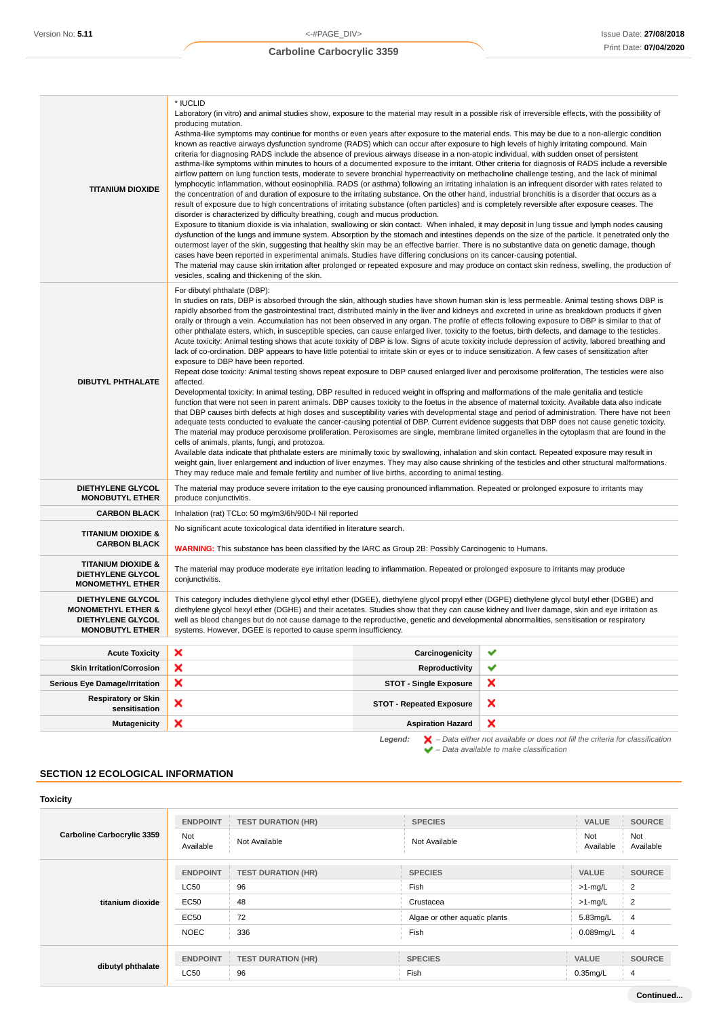| <b>TITANIUM DIOXIDE</b>                                                                                         | * IUCLID<br>Laboratory (in vitro) and animal studies show, exposure to the material may result in a possible risk of irreversible effects, with the possibility of<br>producing mutation.<br>Asthma-like symptoms may continue for months or even years after exposure to the material ends. This may be due to a non-allergic condition<br>known as reactive airways dysfunction syndrome (RADS) which can occur after exposure to high levels of highly irritating compound. Main<br>criteria for diagnosing RADS include the absence of previous airways disease in a non-atopic individual, with sudden onset of persistent<br>asthma-like symptoms within minutes to hours of a documented exposure to the irritant. Other criteria for diagnosis of RADS include a reversible<br>airflow pattern on lung function tests, moderate to severe bronchial hyperreactivity on methacholine challenge testing, and the lack of minimal<br>lymphocytic inflammation, without eosinophilia. RADS (or asthma) following an irritating inhalation is an infrequent disorder with rates related to<br>the concentration of and duration of exposure to the irritating substance. On the other hand, industrial bronchitis is a disorder that occurs as a<br>result of exposure due to high concentrations of irritating substance (often particles) and is completely reversible after exposure ceases. The<br>disorder is characterized by difficulty breathing, cough and mucus production.<br>Exposure to titanium dioxide is via inhalation, swallowing or skin contact. When inhaled, it may deposit in lung tissue and lymph nodes causing<br>dysfunction of the lungs and immune system. Absorption by the stomach and intestines depends on the size of the particle. It penetrated only the<br>outermost layer of the skin, suggesting that healthy skin may be an effective barrier. There is no substantive data on genetic damage, though<br>cases have been reported in experimental animals. Studies have differing conclusions on its cancer-causing potential.<br>The material may cause skin irritation after prolonged or repeated exposure and may produce on contact skin redness, swelling, the production of                                                                                                           |                                 |   |
|-----------------------------------------------------------------------------------------------------------------|-----------------------------------------------------------------------------------------------------------------------------------------------------------------------------------------------------------------------------------------------------------------------------------------------------------------------------------------------------------------------------------------------------------------------------------------------------------------------------------------------------------------------------------------------------------------------------------------------------------------------------------------------------------------------------------------------------------------------------------------------------------------------------------------------------------------------------------------------------------------------------------------------------------------------------------------------------------------------------------------------------------------------------------------------------------------------------------------------------------------------------------------------------------------------------------------------------------------------------------------------------------------------------------------------------------------------------------------------------------------------------------------------------------------------------------------------------------------------------------------------------------------------------------------------------------------------------------------------------------------------------------------------------------------------------------------------------------------------------------------------------------------------------------------------------------------------------------------------------------------------------------------------------------------------------------------------------------------------------------------------------------------------------------------------------------------------------------------------------------------------------------------------------------------------------------------------------------------------------------------------------------------------------------------------------------------------------------------|---------------------------------|---|
| <b>DIBUTYL PHTHALATE</b>                                                                                        | vesicles, scaling and thickening of the skin.<br>For dibutyl phthalate (DBP):<br>In studies on rats, DBP is absorbed through the skin, although studies have shown human skin is less permeable. Animal testing shows DBP is<br>rapidly absorbed from the gastrointestinal tract, distributed mainly in the liver and kidneys and excreted in urine as breakdown products if given<br>orally or through a vein. Accumulation has not been observed in any organ. The profile of effects following exposure to DBP is similar to that of<br>other phthalate esters, which, in susceptible species, can cause enlarged liver, toxicity to the foetus, birth defects, and damage to the testicles.<br>Acute toxicity: Animal testing shows that acute toxicity of DBP is low. Signs of acute toxicity include depression of activity, labored breathing and<br>lack of co-ordination. DBP appears to have little potential to irritate skin or eyes or to induce sensitization. A few cases of sensitization after<br>exposure to DBP have been reported.<br>Repeat dose toxicity: Animal testing shows repeat exposure to DBP caused enlarged liver and peroxisome proliferation, The testicles were also<br>affected.<br>Developmental toxicity: In animal testing, DBP resulted in reduced weight in offspring and malformations of the male genitalia and testicle<br>function that were not seen in parent animals. DBP causes toxicity to the foetus in the absence of maternal toxicity. Available data also indicate<br>that DBP causes birth defects at high doses and susceptibility varies with developmental stage and period of administration. There have not been<br>adequate tests conducted to evaluate the cancer-causing potential of DBP. Current evidence suggests that DBP does not cause genetic toxicity.<br>The material may produce peroxisome proliferation. Peroxisomes are single, membrane limited organelles in the cytoplasm that are found in the<br>cells of animals, plants, fungi, and protozoa.<br>Available data indicate that phthalate esters are minimally toxic by swallowing, inhalation and skin contact. Repeated exposure may result in<br>weight gain, liver enlargement and induction of liver enzymes. They may also cause shrinking of the testicles and other structural malformations. |                                 |   |
| <b>DIETHYLENE GLYCOL</b><br><b>MONOBUTYL ETHER</b>                                                              | They may reduce male and female fertility and number of live births, according to animal testing.<br>The material may produce severe irritation to the eye causing pronounced inflammation. Repeated or prolonged exposure to irritants may<br>produce conjunctivitis.                                                                                                                                                                                                                                                                                                                                                                                                                                                                                                                                                                                                                                                                                                                                                                                                                                                                                                                                                                                                                                                                                                                                                                                                                                                                                                                                                                                                                                                                                                                                                                                                                                                                                                                                                                                                                                                                                                                                                                                                                                                                  |                                 |   |
| <b>CARBON BLACK</b>                                                                                             | Inhalation (rat) TCLo: 50 mg/m3/6h/90D-I Nil reported                                                                                                                                                                                                                                                                                                                                                                                                                                                                                                                                                                                                                                                                                                                                                                                                                                                                                                                                                                                                                                                                                                                                                                                                                                                                                                                                                                                                                                                                                                                                                                                                                                                                                                                                                                                                                                                                                                                                                                                                                                                                                                                                                                                                                                                                                   |                                 |   |
| <b>TITANIUM DIOXIDE &amp;</b><br><b>CARBON BLACK</b>                                                            | No significant acute toxicological data identified in literature search.<br><b>WARNING:</b> This substance has been classified by the IARC as Group 2B: Possibly Carcinogenic to Humans.                                                                                                                                                                                                                                                                                                                                                                                                                                                                                                                                                                                                                                                                                                                                                                                                                                                                                                                                                                                                                                                                                                                                                                                                                                                                                                                                                                                                                                                                                                                                                                                                                                                                                                                                                                                                                                                                                                                                                                                                                                                                                                                                                |                                 |   |
| <b>TITANIUM DIOXIDE &amp;</b><br><b>DIETHYLENE GLYCOL</b><br><b>MONOMETHYL ETHER</b>                            | The material may produce moderate eye irritation leading to inflammation. Repeated or prolonged exposure to irritants may produce<br>conjunctivitis.                                                                                                                                                                                                                                                                                                                                                                                                                                                                                                                                                                                                                                                                                                                                                                                                                                                                                                                                                                                                                                                                                                                                                                                                                                                                                                                                                                                                                                                                                                                                                                                                                                                                                                                                                                                                                                                                                                                                                                                                                                                                                                                                                                                    |                                 |   |
| <b>DIETHYLENE GLYCOL</b><br><b>MONOMETHYL ETHER &amp;</b><br><b>DIETHYLENE GLYCOL</b><br><b>MONOBUTYL ETHER</b> | This category includes diethylene glycol ethyl ether (DGEE), diethylene glycol propyl ether (DGPE) diethylene glycol butyl ether (DGBE) and<br>diethylene glycol hexyl ether (DGHE) and their acetates. Studies show that they can cause kidney and liver damage, skin and eye irritation as<br>well as blood changes but do not cause damage to the reproductive, genetic and developmental abnormalities, sensitisation or respiratory<br>systems. However, DGEE is reported to cause sperm insufficiency.                                                                                                                                                                                                                                                                                                                                                                                                                                                                                                                                                                                                                                                                                                                                                                                                                                                                                                                                                                                                                                                                                                                                                                                                                                                                                                                                                                                                                                                                                                                                                                                                                                                                                                                                                                                                                            |                                 |   |
| <b>Acute Toxicity</b>                                                                                           | ×                                                                                                                                                                                                                                                                                                                                                                                                                                                                                                                                                                                                                                                                                                                                                                                                                                                                                                                                                                                                                                                                                                                                                                                                                                                                                                                                                                                                                                                                                                                                                                                                                                                                                                                                                                                                                                                                                                                                                                                                                                                                                                                                                                                                                                                                                                                                       | Carcinogenicity                 | ✔ |
| <b>Skin Irritation/Corrosion</b>                                                                                | ×                                                                                                                                                                                                                                                                                                                                                                                                                                                                                                                                                                                                                                                                                                                                                                                                                                                                                                                                                                                                                                                                                                                                                                                                                                                                                                                                                                                                                                                                                                                                                                                                                                                                                                                                                                                                                                                                                                                                                                                                                                                                                                                                                                                                                                                                                                                                       | Reproductivity                  | ✔ |
| <b>Serious Eye Damage/Irritation</b>                                                                            | ×                                                                                                                                                                                                                                                                                                                                                                                                                                                                                                                                                                                                                                                                                                                                                                                                                                                                                                                                                                                                                                                                                                                                                                                                                                                                                                                                                                                                                                                                                                                                                                                                                                                                                                                                                                                                                                                                                                                                                                                                                                                                                                                                                                                                                                                                                                                                       | <b>STOT - Single Exposure</b>   | × |
| <b>Respiratory or Skin</b><br>sensitisation                                                                     | ×                                                                                                                                                                                                                                                                                                                                                                                                                                                                                                                                                                                                                                                                                                                                                                                                                                                                                                                                                                                                                                                                                                                                                                                                                                                                                                                                                                                                                                                                                                                                                                                                                                                                                                                                                                                                                                                                                                                                                                                                                                                                                                                                                                                                                                                                                                                                       | <b>STOT - Repeated Exposure</b> | × |
| <b>Mutagenicity</b>                                                                                             | ×                                                                                                                                                                                                                                                                                                                                                                                                                                                                                                                                                                                                                                                                                                                                                                                                                                                                                                                                                                                                                                                                                                                                                                                                                                                                                                                                                                                                                                                                                                                                                                                                                                                                                                                                                                                                                                                                                                                                                                                                                                                                                                                                                                                                                                                                                                                                       | <b>Aspiration Hazard</b>        | × |

**Legend:**  $\mathbf{X}$  – Data either not available or does not fill the criteria for classification – Data available to make classification

## **SECTION 12 ECOLOGICAL INFORMATION**

| <b>Toxicity</b>                   |                  |                           |                               |                  |                  |
|-----------------------------------|------------------|---------------------------|-------------------------------|------------------|------------------|
| <b>Carboline Carbocrylic 3359</b> | <b>ENDPOINT</b>  | <b>TEST DURATION (HR)</b> | <b>SPECIES</b>                | VALUE            | <b>SOURCE</b>    |
|                                   | Not<br>Available | Not Available             | Not Available                 | Not<br>Available | Not<br>Available |
| titanium dioxide                  | <b>ENDPOINT</b>  | <b>TEST DURATION (HR)</b> | <b>SPECIES</b>                | <b>VALUE</b>     | <b>SOURCE</b>    |
|                                   | <b>LC50</b>      | 96                        | Fish                          | $>1$ -mg/L       | $\overline{2}$   |
|                                   | EC50             | 48                        | Crustacea                     | $>1$ -mg/L       | 2                |
|                                   | <b>EC50</b>      | 72                        | Algae or other aquatic plants | 5.83mg/L         | $\overline{4}$   |
|                                   | <b>NOEC</b>      | 336                       | Fish                          | 0.089mg/L        | $\overline{4}$   |
|                                   |                  |                           |                               |                  |                  |
| dibutyl phthalate                 | <b>ENDPOINT</b>  | <b>TEST DURATION (HR)</b> | <b>SPECIES</b>                | <b>VALUE</b>     | <b>SOURCE</b>    |
|                                   | <b>LC50</b>      | 96                        | Fish                          | $0.35$ mg/L      | $\overline{4}$   |

**Continued...**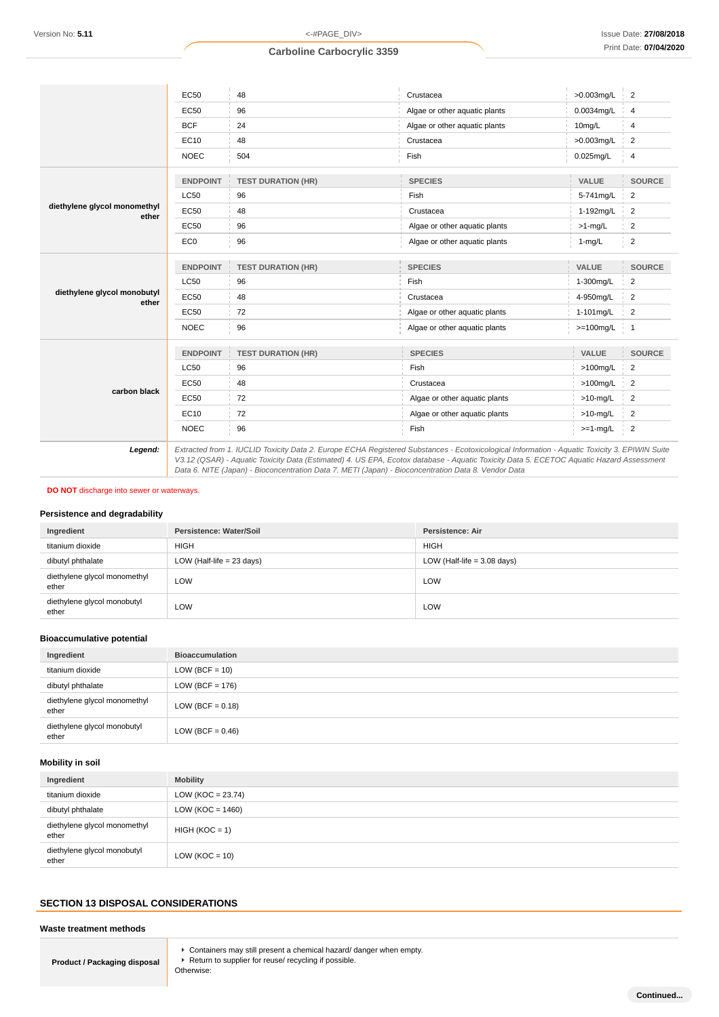|                                       | <b>EC50</b>     | 48                                                                                                                                            | Crustacea                                                                                                                               | $>0.003$ mg/L | $\overline{2}$ |
|---------------------------------------|-----------------|-----------------------------------------------------------------------------------------------------------------------------------------------|-----------------------------------------------------------------------------------------------------------------------------------------|---------------|----------------|
|                                       | <b>EC50</b>     | 96                                                                                                                                            | Algae or other aquatic plants                                                                                                           | 0.0034mg/L    | 4              |
|                                       | <b>BCF</b>      | 24                                                                                                                                            | Algae or other aquatic plants                                                                                                           | 10mg/L        | 4              |
|                                       | EC10            | 48                                                                                                                                            | Crustacea                                                                                                                               | >0.003mg/L    | 2              |
|                                       | <b>NOEC</b>     | 504                                                                                                                                           | Fish                                                                                                                                    | $0.025$ mg/L  | 4              |
|                                       | <b>ENDPOINT</b> | <b>TEST DURATION (HR)</b>                                                                                                                     | <b>SPECIES</b>                                                                                                                          | VALUE         | <b>SOURCE</b>  |
|                                       | <b>LC50</b>     | 96                                                                                                                                            | Fish                                                                                                                                    | 5-741mg/L     | $\overline{2}$ |
| diethylene glycol monomethyl<br>ether | <b>EC50</b>     | 48                                                                                                                                            | Crustacea                                                                                                                               | 1-192mg/L     | $\overline{c}$ |
|                                       | <b>EC50</b>     | 96                                                                                                                                            | Algae or other aquatic plants                                                                                                           | $>1$ -mg/L    | $\overline{2}$ |
|                                       | EC <sub>0</sub> | 96                                                                                                                                            | Algae or other aquatic plants                                                                                                           | $1-mg/L$      | $\overline{2}$ |
|                                       | <b>ENDPOINT</b> | <b>TEST DURATION (HR)</b>                                                                                                                     | <b>SPECIES</b>                                                                                                                          | VALUE         | <b>SOURCE</b>  |
|                                       | <b>LC50</b>     | 96                                                                                                                                            | Fish                                                                                                                                    | 1-300mg/L     | $\overline{2}$ |
| diethylene glycol monobutyl<br>ether  | EC50            | 48                                                                                                                                            | Crustacea                                                                                                                               | 4-950mg/L     | $\overline{2}$ |
|                                       | <b>EC50</b>     | 72                                                                                                                                            | Algae or other aquatic plants                                                                                                           | 1-101mg/L     | 2              |
|                                       | <b>NOEC</b>     | 96                                                                                                                                            | Algae or other aquatic plants                                                                                                           | $>=100$ mg/L  | $\overline{1}$ |
|                                       | <b>ENDPOINT</b> | <b>TEST DURATION (HR)</b>                                                                                                                     | <b>SPECIES</b>                                                                                                                          | VALUE         | <b>SOURCE</b>  |
|                                       | <b>LC50</b>     | 96                                                                                                                                            | Fish                                                                                                                                    | $>100$ mg/L   | 2              |
|                                       | <b>EC50</b>     | 48                                                                                                                                            | Crustacea                                                                                                                               | $>100$ mg/L   | $\overline{c}$ |
| carbon black                          | <b>EC50</b>     | 72                                                                                                                                            | Algae or other aquatic plants                                                                                                           | $>10$ -mg/L   | $\overline{2}$ |
|                                       | EC10            | 72                                                                                                                                            | Algae or other aquatic plants                                                                                                           | $>10$ -mg/L   | $\overline{2}$ |
|                                       | <b>NOEC</b>     | 96                                                                                                                                            | Fish                                                                                                                                    | $>=1-mg/L$    | $\overline{2}$ |
| Legend:                               |                 | Extracted from 1. IUCLID Toxicity Data 2. Europe ECHA Registered Substances - Ecotoxicological Information - Aquatic Toxicity 3. EPIWIN Suite | V3.12 (QSAR) - Aquatic Toxicity Data (Estimated) 4. US EPA, Ecotox database - Aquatic Toxicity Data 5. ECETOC Aquatic Hazard Assessment |               |                |

Data 6. NITE (Japan) - Bioconcentration Data 7. METI (Japan) - Bioconcentration Data 8. Vendor Data

**DO NOT** discharge into sewer or waterways.

#### **Persistence and degradability**

| Ingredient                            | Persistence: Water/Soil     | <b>Persistence: Air</b>       |
|---------------------------------------|-----------------------------|-------------------------------|
| titanium dioxide                      | <b>HIGH</b>                 | <b>HIGH</b>                   |
| dibutyl phthalate                     | LOW (Half-life = $23$ days) | LOW (Half-life = $3.08$ days) |
| diethylene glycol monomethyl<br>ether | LOW                         | LOW                           |
| diethylene glycol monobutyl<br>ether  | LOW                         | LOW                           |

## **Bioaccumulative potential**

| Ingredient                            | <b>Bioaccumulation</b> |
|---------------------------------------|------------------------|
| titanium dioxide                      | LOW (BCF = $10$ )      |
| dibutyl phthalate                     | LOW (BCF = $176$ )     |
| diethylene glycol monomethyl<br>ether | LOW (BCF = $0.18$ )    |
| diethylene glycol monobutyl<br>ether  | LOW (BCF = $0.46$ )    |

### **Mobility in soil**

| Ingredient                            | <b>Mobility</b>       |
|---------------------------------------|-----------------------|
| titanium dioxide                      | LOW ( $KOC = 23.74$ ) |
| dibutyl phthalate                     | LOW ( $KOC = 1460$ )  |
| diethylene glycol monomethyl<br>ether | $HIGH (KOC = 1)$      |
| diethylene glycol monobutyl<br>ether  | $LOW (KOC = 10)$      |

## **SECTION 13 DISPOSAL CONSIDERATIONS**

#### **Waste treatment methods**

**Product / Packaging disposal**

Containers may still present a chemical hazard/ danger when empty. ▶ Return to supplier for reuse/ recycling if possible.

Otherwise: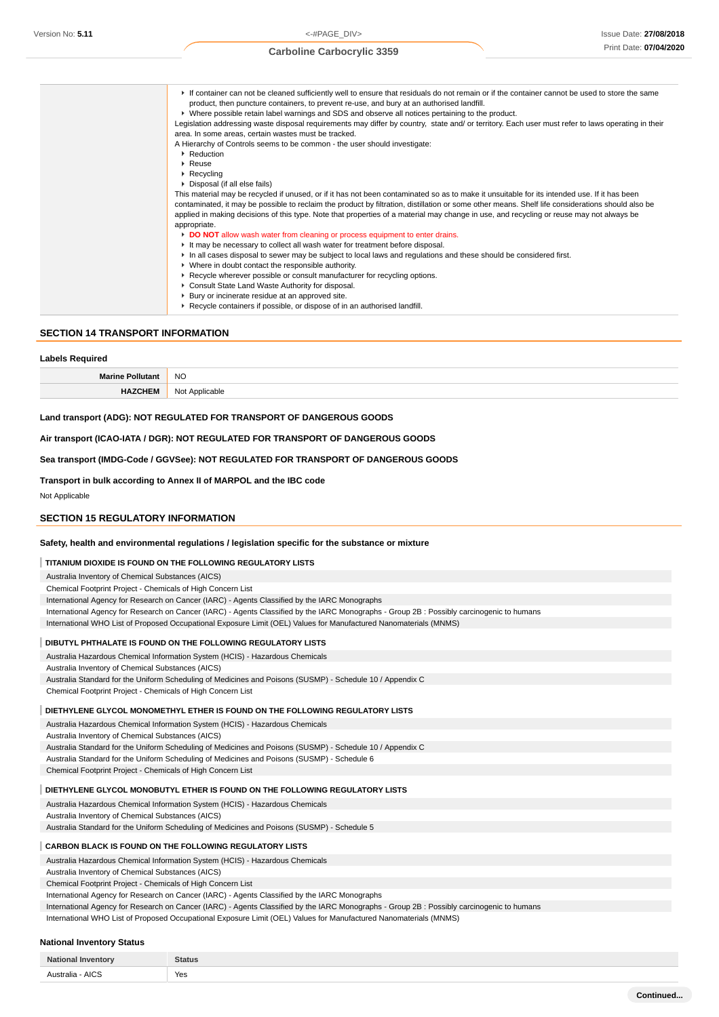| If container can not be cleaned sufficiently well to ensure that residuals do not remain or if the container cannot be used to store the same<br>product, then puncture containers, to prevent re-use, and bury at an authorised landfill.<br>► Where possible retain label warnings and SDS and observe all notices pertaining to the product.<br>Legislation addressing waste disposal requirements may differ by country, state and/ or territory. Each user must refer to laws operating in their |
|-------------------------------------------------------------------------------------------------------------------------------------------------------------------------------------------------------------------------------------------------------------------------------------------------------------------------------------------------------------------------------------------------------------------------------------------------------------------------------------------------------|
| area. In some areas, certain wastes must be tracked.                                                                                                                                                                                                                                                                                                                                                                                                                                                  |
| A Hierarchy of Controls seems to be common - the user should investigate:                                                                                                                                                                                                                                                                                                                                                                                                                             |
| • Reduction                                                                                                                                                                                                                                                                                                                                                                                                                                                                                           |
| $\triangleright$ Reuse                                                                                                                                                                                                                                                                                                                                                                                                                                                                                |
| $\triangleright$ Recycling                                                                                                                                                                                                                                                                                                                                                                                                                                                                            |
| ▶ Disposal (if all else fails)                                                                                                                                                                                                                                                                                                                                                                                                                                                                        |
| This material may be recycled if unused, or if it has not been contaminated so as to make it unsuitable for its intended use. If it has been                                                                                                                                                                                                                                                                                                                                                          |
| contaminated, it may be possible to reclaim the product by filtration, distillation or some other means. Shelf life considerations should also be                                                                                                                                                                                                                                                                                                                                                     |
| applied in making decisions of this type. Note that properties of a material may change in use, and recycling or reuse may not always be                                                                                                                                                                                                                                                                                                                                                              |
| appropriate.                                                                                                                                                                                                                                                                                                                                                                                                                                                                                          |
| DO NOT allow wash water from cleaning or process equipment to enter drains.                                                                                                                                                                                                                                                                                                                                                                                                                           |
| If It may be necessary to collect all wash water for treatment before disposal.                                                                                                                                                                                                                                                                                                                                                                                                                       |
| In all cases disposal to sewer may be subject to local laws and regulations and these should be considered first.                                                                                                                                                                                                                                                                                                                                                                                     |
| • Where in doubt contact the responsible authority.                                                                                                                                                                                                                                                                                                                                                                                                                                                   |
| ▶ Recycle wherever possible or consult manufacturer for recycling options.                                                                                                                                                                                                                                                                                                                                                                                                                            |
| ▶ Consult State Land Waste Authority for disposal.                                                                                                                                                                                                                                                                                                                                                                                                                                                    |
| ▶ Bury or incinerate residue at an approved site.                                                                                                                                                                                                                                                                                                                                                                                                                                                     |
| ▶ Recycle containers if possible, or dispose of in an authorised landfill.                                                                                                                                                                                                                                                                                                                                                                                                                            |

### **SECTION 14 TRANSPORT INFORMATION**

| Labels Required         |                |
|-------------------------|----------------|
| <b>Marine Pollutant</b> | <b>NO</b>      |
| <b>HAZCHEM</b>          | Not Applicable |

#### **Land transport (ADG): NOT REGULATED FOR TRANSPORT OF DANGEROUS GOODS**

#### **Air transport (ICAO-IATA / DGR): NOT REGULATED FOR TRANSPORT OF DANGEROUS GOODS**

**Sea transport (IMDG-Code / GGVSee): NOT REGULATED FOR TRANSPORT OF DANGEROUS GOODS**

#### **Transport in bulk according to Annex II of MARPOL and the IBC code**

Not Applicable

**Labels Required**

#### **SECTION 15 REGULATORY INFORMATION**

#### **Safety, health and environmental regulations / legislation specific for the substance or mixture**

#### **TITANIUM DIOXIDE IS FOUND ON THE FOLLOWING REGULATORY LISTS**

Australia Inventory of Chemical Substances (AICS)

Chemical Footprint Project - Chemicals of High Concern List

International Agency for Research on Cancer (IARC) - Agents Classified by the IARC Monographs

- International Agency for Research on Cancer (IARC) Agents Classified by the IARC Monographs Group 2B : Possibly carcinogenic to humans
- International WHO List of Proposed Occupational Exposure Limit (OEL) Values for Manufactured Nanomaterials (MNMS)

#### **DIBUTYL PHTHALATE IS FOUND ON THE FOLLOWING REGULATORY LISTS**

Australia Hazardous Chemical Information System (HCIS) - Hazardous Chemicals Australia Inventory of Chemical Substances (AICS)

Australia Standard for the Uniform Scheduling of Medicines and Poisons (SUSMP) - Schedule 10 / Appendix C

Chemical Footprint Project - Chemicals of High Concern List

#### **DIETHYLENE GLYCOL MONOMETHYL ETHER IS FOUND ON THE FOLLOWING REGULATORY LISTS**

Australia Hazardous Chemical Information System (HCIS) - Hazardous Chemicals

Australia Inventory of Chemical Substances (AICS)

Australia Standard for the Uniform Scheduling of Medicines and Poisons (SUSMP) - Schedule 10 / Appendix C

Australia Standard for the Uniform Scheduling of Medicines and Poisons (SUSMP) - Schedule 6

Chemical Footprint Project - Chemicals of High Concern List

#### **DIETHYLENE GLYCOL MONOBUTYL ETHER IS FOUND ON THE FOLLOWING REGULATORY LISTS**

Australia Hazardous Chemical Information System (HCIS) - Hazardous Chemicals

Australia Inventory of Chemical Substances (AICS)

Australia Standard for the Uniform Scheduling of Medicines and Poisons (SUSMP) - Schedule 5

### **CARBON BLACK IS FOUND ON THE FOLLOWING REGULATORY LISTS**

Australia Hazardous Chemical Information System (HCIS) - Hazardous Chemicals

Australia Inventory of Chemical Substances (AICS)

Chemical Footprint Project - Chemicals of High Concern List

International Agency for Research on Cancer (IARC) - Agents Classified by the IARC Monographs

International Agency for Research on Cancer (IARC) - Agents Classified by the IARC Monographs - Group 2B : Possibly carcinogenic to humans

International WHO List of Proposed Occupational Exposure Limit (OEL) Values for Manufactured Nanomaterials (MNMS)

#### **National Inventory Status**

| Yes |
|-----|